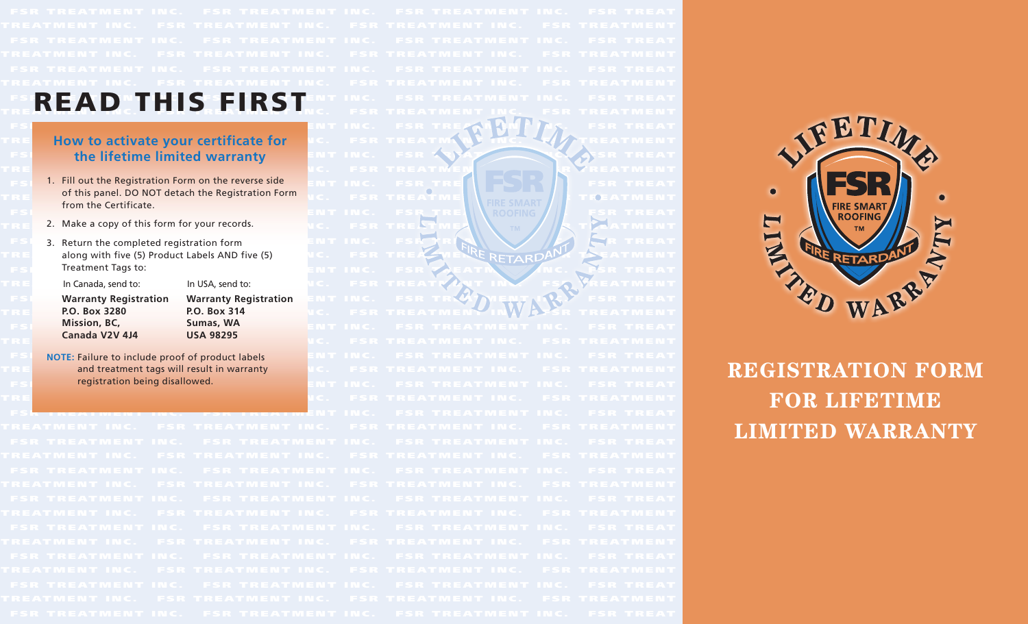- from the Certificate.
- 
- 

**P.O. Box 3280 P.O. Box 314 Mission, BC, Sumas, WA Canada V2V 4J4 USA 98295**

FSED E A NUTH CEEID CTENT INC. FSR TREATMENT INC. FSR TREAT THIS FIRST INC. FSR TREATMENT INC. FSR TREATMENT INC. FSR TREATMENT FSI REATHER TREATMENT INC. FSR TREATHING IT IN THE REAL TREATMENT IN THE REAL TREATMENT IN THE REAL TREATMENT **TRE AND HOW to activate your certificate for An**d C. A FISR TREATMAND FINCT AND TREATMENT **FSI** the lifetime limited warranty **ENT INC. FSR ANALY SER TREAT** TRE AT ME ATMENT AT THE SERIES OF THE SERIES OF TREATMENT AND THE SERIES OF THE SERIES OF THE SERIES OF THE SERIES OF THE SERIES OF THE SERIES OF THE SERIES OF THE SERIES OF THE SERIES OF THE SERIES OF THE SERIES OF THE SE  $_{\texttt{FSI}}$  1. Fill out the Registration Form on the reverse side  $_{\texttt{ENTINC}}$  . FSR TRE  $_{\texttt{FSR}}$  TRE  $_{\texttt{SRI}}$  TREAT TRE OF this panel. DO NOT detach the Registration Form  $\|$  a c. F. F. F. R. E.A.T. W. E. N. A.T. W. T. FOE AT M. E.N. T FSR TR E ATMENT IN C. FS R TR E ATME N T I N C. FSR TR E ATME N T INC. FSR T R E AT TRE Z. Make a copy of this form for your records. We have the set of  $\mathbf{R} \in \mathbb{R}$  ,  $\mathbf{R} \in \mathbb{R}$  ,  $\mathbf{R} \in \mathbb{R}$  ,  $\mathbf{R} \in \mathbb{R}$  ,  $\mathbf{R} \in \mathbb{R}$  ,  $\mathbf{R} \in \mathbb{R}$  ,  $\mathbf{R} \in \mathbb{R}$  ,  $\mathbf{R} \in \mathbb{R}$  , FSR 3. Return the completed registration form **ENT IN C.** FSR R R N N V **AN TREAT** TRE along with five (5) Product Labels AND five (5) NO. FSR TREATMENT RETARDANT SEATMENT FSR TREAT TREAT INC. FSR EATMENT INC. FREAT TRE In Canada, send to: In USA, send to: In Inc. FSR TREATIVENT IN FSA VREATMENT **FSI Warranty Registration Warranty Registration ENT INC. FSR TRV MENT IN RIVERT REAT** TR E ATME N T I N C. FSR TR E ATME N T I N C. FSR TR E ATMEN T I N C. FSR T R E ATME N T FSR TR E ATMENT IN C. FS R TR E ATME N T I N C. FSR TR E ATME N T INC. FSR T R E AT TR E ATME N T I N C. FSR TR E ATME N T I N C. FSR TR E ATMEN T I N C . FSR TRE ATME N T FSI NOTE: Failure to include proof of product labels **ENT INC. FSR TREATMENT INC. FSR TREAT** TRE and treatment tags will result in warranty **of U.C. F.T. REATMENT IN C. F.T.REATMENT** FSR TR E ATMENT IN C. FS R TR E ATME N T I N C. FSR TR E ATME N T INC. FSR T R E AT registration being disallowed. TRE AT THE ATMOSPHERE THE SERIES OF THE NUCLEUS AND THE ATMOSPHERE THE ATMOSPHERE THE ATMOSPHERE THE ATMOSPHERE FSR TREATMENT ING. FSR TREATMENT INC. FSR TREATMENT INC. FSR TREAT



# **Registration Form for Lifetime Limited Warranty**